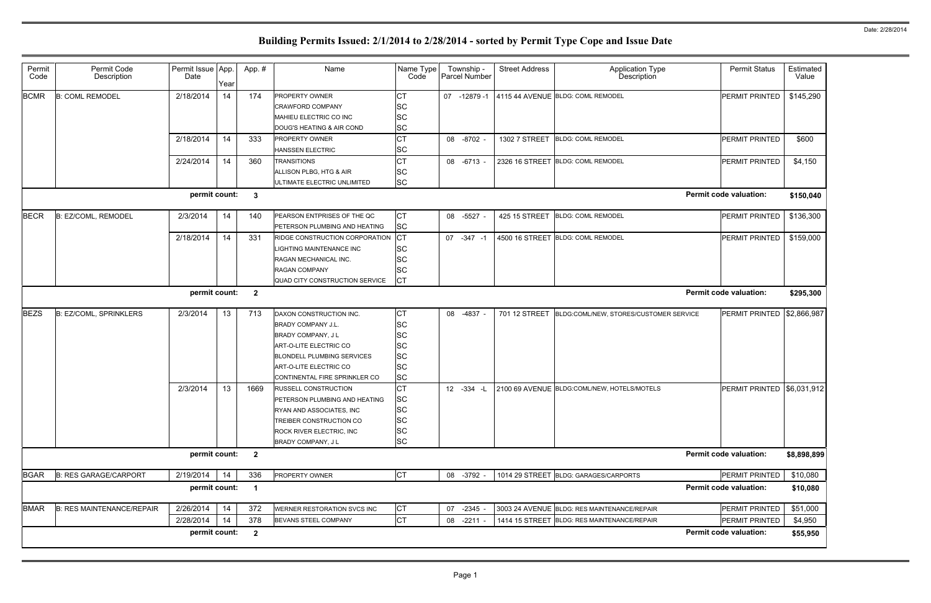| Permit<br>Code                                                              | Permit Code<br>Description       | Permit Issue App.<br>Date | Year     | App. #                  | Name                                                                                                                                                                                                 | Name Type<br>Code                                                          | Township -<br><b>Parcel Number</b> | <b>Street Address</b> | <b>Application Type</b><br>Description                                                     | <b>Permit Status</b>             | Estimated<br>Value  |
|-----------------------------------------------------------------------------|----------------------------------|---------------------------|----------|-------------------------|------------------------------------------------------------------------------------------------------------------------------------------------------------------------------------------------------|----------------------------------------------------------------------------|------------------------------------|-----------------------|--------------------------------------------------------------------------------------------|----------------------------------|---------------------|
| <b>BCMR</b>                                                                 | <b>B: COML REMODEL</b>           | 2/18/2014                 | 14       | 174                     | <b>PROPERTY OWNER</b><br><b>CRAWFORD COMPANY</b><br>MAHIEU ELECTRIC CO INC<br>DOUG'S HEATING & AIR COND                                                                                              | <b>CT</b><br>lSC<br><b>SC</b><br><b>SC</b>                                 | 07 -12879 -1                       |                       | 4115 44 AVENUE BLDG: COML REMODEL                                                          | PERMIT PRINTED                   | \$145,290           |
|                                                                             |                                  | 2/18/2014                 | 14       | 333                     | <b>PROPERTY OWNER</b><br><b>HANSSEN ELECTRIC</b>                                                                                                                                                     | <b>CT</b><br><b>SC</b>                                                     | 08 -8702                           | 1302 7 STREET         | <b>BLDG: COML REMODEL</b>                                                                  | PERMIT PRINTED                   | \$600               |
|                                                                             |                                  | 2/24/2014                 | 14       | 360                     | <b>TRANSITIONS</b><br>ALLISON PLBG, HTG & AIR<br>ULTIMATE ELECTRIC UNLIMITED                                                                                                                         | <b>CT</b><br><b>SC</b><br><b>SC</b>                                        | 08 -6713                           |                       | 2326 16 STREET BLDG: COML REMODEL                                                          | PERMIT PRINTED                   | \$4,150             |
| permit count:<br><b>Permit code valuation:</b><br>$\mathbf{3}$<br>\$150,040 |                                  |                           |          |                         |                                                                                                                                                                                                      |                                                                            |                                    |                       |                                                                                            |                                  |                     |
| <b>BECR</b>                                                                 | B: EZ/COML, REMODEL              | 2/3/2014                  | 14       | 140                     | PEARSON ENTPRISES OF THE QC<br>PETERSON PLUMBING AND HEATING                                                                                                                                         | СT<br><b>SC</b>                                                            | 08 -5527                           | 425 15 STREET         | <b>BLDG: COML REMODEL</b>                                                                  | PERMIT PRINTED                   | \$136,300           |
|                                                                             |                                  | 2/18/2014                 | 14       | 331                     | RIDGE CONSTRUCTION CORPORATION<br><b>IGHTING MAINTENANCE INC</b><br>RAGAN MECHANICAL INC.<br><b>RAGAN COMPANY</b><br>QUAD CITY CONSTRUCTION SERVICE                                                  | CT<br>lSC<br><b>SC</b><br><b>SC</b><br><b>CT</b>                           | 07 -347 -1                         |                       | 4500 16 STREET BLDG: COML REMODEL                                                          | PERMIT PRINTED                   | \$159,000           |
|                                                                             |                                  | permit count:             |          | $\overline{\mathbf{2}}$ |                                                                                                                                                                                                      |                                                                            |                                    |                       |                                                                                            | <b>Permit code valuation:</b>    | \$295,300           |
| <b>BEZS</b>                                                                 | <b>B: EZ/COML, SPRINKLERS</b>    | 2/3/2014                  | 13       | 713                     | DAXON CONSTRUCTION INC.<br><b>BRADY COMPANY J.L.</b><br>BRADY COMPANY, J L<br>ART-O-LITE ELECTRIC CO<br><b>BLONDELL PLUMBING SERVICES</b><br>ART-O-LITE ELECTRIC CO<br>CONTINENTAL FIRE SPRINKLER CO | СT<br><b>SC</b><br>lSC<br><b>SC</b><br><b>SC</b><br><b>SC</b><br><b>SC</b> | 08 -4837                           | 701 12 STREET         | BLDG:COML/NEW, STORES/CUSTOMER SERVICE                                                     | PERMIT PRINTED                   | \$2,866,987         |
|                                                                             |                                  | 2/3/2014                  | 13       | 1669                    | <b>RUSSELL CONSTRUCTION</b><br>PETERSON PLUMBING AND HEATING<br>RYAN AND ASSOCIATES, INC<br><b>TREIBER CONSTRUCTION CO</b><br>ROCK RIVER ELECTRIC, INC<br>BRADY COMPANY, J L                         | <b>CT</b><br><b>SC</b><br><b>SC</b><br><b>SC</b><br><b>SC</b><br><b>SC</b> | $12 - 334 - 1$                     |                       | 2100 69 AVENUE BLDG:COML/NEW, HOTELS/MOTELS                                                | PERMIT PRINTED                   | \$6,031,912         |
|                                                                             |                                  | permit count:             |          | $\overline{\mathbf{2}}$ |                                                                                                                                                                                                      |                                                                            |                                    |                       |                                                                                            | <b>Permit code valuation:</b>    | \$8,898,899         |
| <b>BGAR</b>                                                                 | <b>B: RES GARAGE/CARPORT</b>     | 2/19/2014                 | 14       | 336                     | PROPERTY OWNER                                                                                                                                                                                       | <b>CT</b>                                                                  | 08 -3792 -                         |                       | 1014 29 STREET BLDG: GARAGES/CARPORTS                                                      | PERMIT PRINTED                   | \$10,080            |
|                                                                             |                                  | permit count:             |          | $\overline{\mathbf{1}}$ |                                                                                                                                                                                                      |                                                                            |                                    |                       |                                                                                            | <b>Permit code valuation:</b>    | \$10,080            |
| <b>BMAR</b>                                                                 | <b>B: RES MAINTENANCE/REPAIR</b> | 2/26/2014<br>2/28/2014    | 14<br>14 | 372<br>378              | WERNER RESTORATION SVCS INC<br>BEVANS STEEL COMPANY                                                                                                                                                  | <b>CT</b><br><b>CT</b>                                                     | 07 -2345<br>08 -2211               |                       | 3003 24 AVENUE BLDG: RES MAINTENANCE/REPAIR<br>1414 15 STREET BLDG: RES MAINTENANCE/REPAIR | PERMIT PRINTED<br>PERMIT PRINTED | \$51,000            |
|                                                                             |                                  | permit count:             |          | $\overline{\mathbf{2}}$ |                                                                                                                                                                                                      |                                                                            |                                    |                       |                                                                                            | <b>Permit code valuation:</b>    | \$4,950<br>\$55,950 |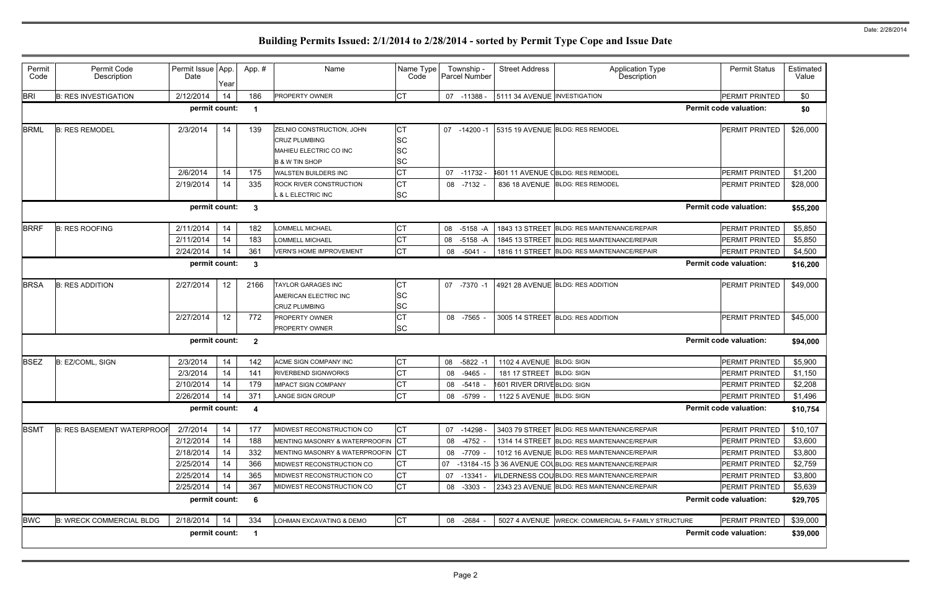| Permit<br>Code                                                 | Permit Code<br>Description                                      | Permit Issue App.<br>Date | Year | App.#        | Name                                                                                                     | Name Type<br>Code                         | Township -<br>Parcel Number | <b>Street Address</b>        | <b>Application Type</b><br>Description                 | <b>Permit Status</b>          | Estimated<br>Value |
|----------------------------------------------------------------|-----------------------------------------------------------------|---------------------------|------|--------------|----------------------------------------------------------------------------------------------------------|-------------------------------------------|-----------------------------|------------------------------|--------------------------------------------------------|-------------------------------|--------------------|
| <b>BRI</b>                                                     | <b>B: RES INVESTIGATION</b>                                     | 2/12/2014                 | 14   | 186          | <b>PROPERTY OWNER</b>                                                                                    | CT                                        | 07 -11388 -                 | 5111 34 AVENUE INVESTIGATION |                                                        | PERMIT PRINTED                | \$0                |
|                                                                |                                                                 | permit count:             |      | -1           |                                                                                                          |                                           |                             |                              |                                                        | <b>Permit code valuation:</b> | \$0                |
| <b>BRML</b>                                                    | <b>B: RES REMODEL</b>                                           | 2/3/2014                  | 14   | 139          | ZELNIO CONSTRUCTION, JOHN<br><b>CRUZ PLUMBING</b><br>MAHIEU ELECTRIC CO INC<br><b>B &amp; W TIN SHOP</b> | СT<br><b>SC</b><br><b>SC</b><br><b>SC</b> | $-14200 - 1$<br>07          |                              | 5315 19 AVENUE BLDG: RES REMODEL                       | PERMIT PRINTED                | \$26,000           |
|                                                                |                                                                 | 2/6/2014                  | 14   | 175          | <b>WALSTEN BUILDERS INC</b>                                                                              | <b>CT</b>                                 | $-11732$<br>07              |                              | 1601 11 AVENUE CBLDG: RES REMODEL                      | PERMIT PRINTED                | \$1,200            |
|                                                                |                                                                 | 2/19/2014                 | 14   | 335          | ROCK RIVER CONSTRUCTION<br><b>_ &amp; L ELECTRIC INC</b>                                                 | <b>CT</b><br><b>SC</b>                    | $-7132$<br>08               |                              | 836 18 AVENUE BLDG: RES REMODEL                        | PERMIT PRINTED                | \$28,000           |
|                                                                | <b>Permit code valuation:</b><br>permit count:<br>3<br>\$55,200 |                           |      |              |                                                                                                          |                                           |                             |                              |                                                        |                               |                    |
| <b>BRRF</b>                                                    | <b>B: RES ROOFING</b>                                           | 2/11/2014                 | 14   | 182          | <b>LOMMELL MICHAEL</b>                                                                                   | СT                                        | 08<br>-5158 -A              |                              | 1843 13 STREET BLDG: RES MAINTENANCE/REPAIR            | PERMIT PRINTED                | \$5,850            |
|                                                                |                                                                 | 2/11/2014                 | 14   | 183          | <b>LOMMELL MICHAEL</b>                                                                                   | <b>CT</b>                                 | 08<br>$-5158 - A$           |                              | 1845 13 STREET BLDG: RES MAINTENANCE/REPAIR            | PERMIT PRINTED                | \$5,850            |
|                                                                |                                                                 | 2/24/2014                 | 14   | 361          | <b>VERN'S HOME IMPROVEMENT</b>                                                                           | <b>CT</b>                                 | 08<br>$-5041$               |                              | 1816 11 STREET BLDG: RES MAINTENANCE/REPAIR            | PERMIT PRINTED                | \$4,500            |
| permit count:<br><b>Permit code valuation:</b><br>$\mathbf{3}$ |                                                                 |                           |      |              |                                                                                                          |                                           |                             |                              |                                                        | \$16,200                      |                    |
| <b>BRSA</b>                                                    | <b>B: RES ADDITION</b>                                          | 2/27/2014                 | 12   | 2166         | <b>TAYLOR GARAGES INC</b><br>AMERICAN ELECTRIC INC<br><b>CRUZ PLUMBING</b>                               | СT<br><b>SC</b><br><b>SC</b>              | 07<br>-7370 -1              |                              | 4921 28 AVENUE BLDG: RES ADDITION                      | PERMIT PRINTED                | \$49,000           |
|                                                                |                                                                 | 2/27/2014                 | 12   | 772          | <b>PROPERTY OWNER</b><br>PROPERTY OWNER                                                                  | <b>CT</b><br><b>SC</b>                    | 08 -7565                    |                              | 3005 14 STREET BLDG: RES ADDITION                      | PERMIT PRINTED                | \$45,000           |
|                                                                |                                                                 | permit count:             |      | $\mathbf{2}$ |                                                                                                          |                                           |                             |                              |                                                        | <b>Permit code valuation:</b> | \$94,000           |
| BSEZ                                                           | B: EZ/COML, SIGN                                                | 2/3/2014                  | 14   | 142          | ACME SIGN COMPANY INC                                                                                    | <b>CT</b>                                 | 08<br>$-5822 - 1$           | 1102 4 AVENUE BLDG: SIGN     |                                                        | PERMIT PRINTED                | \$5,900            |
|                                                                |                                                                 | 2/3/2014                  | 14   | 141          | <b>RIVERBEND SIGNWORKS</b>                                                                               | <b>CT</b>                                 | $-9465$<br>08               | 181 17 STREET BLDG: SIGN     |                                                        | PERMIT PRINTED                | \$1,150            |
|                                                                |                                                                 | 2/10/2014                 | 14   | 179          | <b>IMPACT SIGN COMPANY</b>                                                                               | СT                                        | 08<br>$-5418$               | 1601 RIVER DRIVEBLDG: SIGN   |                                                        | PERMIT PRINTED                | \$2,208            |
|                                                                |                                                                 | 2/26/2014                 | 14   | 371          | <b>LANGE SIGN GROUP</b>                                                                                  | <b>CT</b>                                 | $-5799$<br>08               | 1122 5 AVENUE BLDG: SIGN     |                                                        | PERMIT PRINTED                | \$1,496            |
|                                                                |                                                                 | permit count:             |      | -4           |                                                                                                          |                                           |                             |                              |                                                        | <b>Permit code valuation:</b> | \$10,754           |
| <b>BSMT</b>                                                    | <b>B: RES BASEMENT WATERPROOF</b>                               | 2/7/2014                  | 14   | 177          | MIDWEST RECONSTRUCTION CO                                                                                | <b>CT</b>                                 | 07 -14298                   |                              | 3403 79 STREET BLDG: RES MAINTENANCE/REPAIR            | PERMIT PRINTED                | \$10,107           |
|                                                                |                                                                 | 2/12/2014                 | 14   | 188          | MENTING MASONRY & WATERPROOFIN                                                                           | <b>ICT</b>                                | -4752<br>08                 |                              | 1314 14 STREET BLDG: RES MAINTENANCE/REPAIR            | PERMIT PRINTED                | \$3,600            |
|                                                                |                                                                 | 2/18/2014                 | 14   | 332          | MENTING MASONRY & WATERPROOFIN                                                                           | <b>ICT</b>                                | 08 -7709                    |                              | 1012 16 AVENUE BLDG: RES MAINTENANCE/REPAIR            | PERMIT PRINTED                | \$3,800            |
|                                                                |                                                                 | 2/25/2014                 | 14   | 366          | MIDWEST RECONSTRUCTION CO                                                                                | CT                                        | 07                          |                              | -13184 -15 3 36 AVENUE COLBLDG: RES MAINTENANCE/REPAIR | PERMIT PRINTED                | \$2,759            |
|                                                                |                                                                 | 2/25/2014                 | 14   | 365          | MIDWEST RECONSTRUCTION CO                                                                                | <b>CT</b>                                 | 07<br>-13341 -              |                              | VILDERNESS COUBLDG: RES MAINTENANCE/REPAIR             | PERMIT PRINTED                | \$3,800            |
|                                                                |                                                                 | 2/25/2014                 | 14   | 367          | MIDWEST RECONSTRUCTION CO                                                                                | <b>CT</b>                                 | 08 -3303                    |                              | 2343 23 AVENUE BLDG: RES MAINTENANCE/REPAIR            | PERMIT PRINTED                | \$5,639            |
|                                                                |                                                                 | permit count:             |      | 6            |                                                                                                          |                                           |                             |                              |                                                        | <b>Permit code valuation:</b> | \$29,705           |
| <b>BWC</b>                                                     | <b>B: WRECK COMMERCIAL BLDG</b>                                 | 2/18/2014                 | 14   | 334          | LOHMAN EXCAVATING & DEMO                                                                                 | <b>CT</b>                                 | 08 -2684                    |                              | 5027 4 AVENUE WRECK: COMMERCIAL 5+ FAMILY STRUCTURE    | PERMIT PRINTED                | \$39,000           |
|                                                                | permit count:<br><b>Permit code valuation:</b><br>\$39,000      |                           |      |              |                                                                                                          |                                           |                             |                              |                                                        |                               |                    |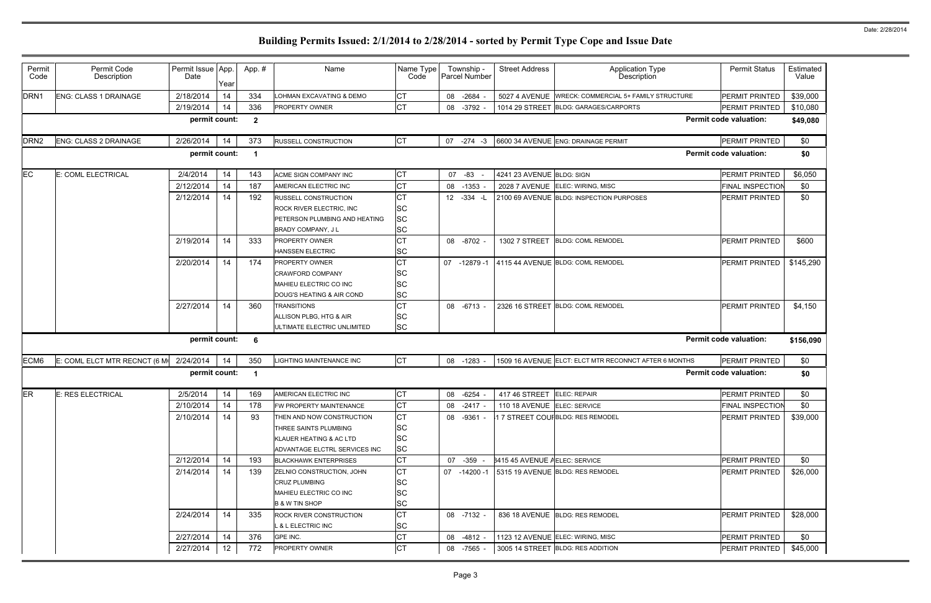| Permit<br>Code   | Permit Code<br>Description                     | Permit Issue App.<br>Date | Year | App. #                  | Name                             | Name Type<br>Code | Township -<br>Parcel Number | <b>Street Address</b>         | <b>Application Type</b><br>Description                | <b>Permit Status</b>          | Estimated<br>Value |
|------------------|------------------------------------------------|---------------------------|------|-------------------------|----------------------------------|-------------------|-----------------------------|-------------------------------|-------------------------------------------------------|-------------------------------|--------------------|
| DRN <sub>1</sub> | <b>ENG: CLASS 1 DRAINAGE</b>                   | 2/18/2014                 | 14   | 334                     | LOHMAN EXCAVATING & DEMO         | СT                | 08 -2684                    |                               | 5027 4 AVENUE WRECK: COMMERCIAL 5+ FAMILY STRUCTURE   | PERMIT PRINTED                | \$39,000           |
|                  |                                                | 2/19/2014                 | 14   | 336                     | PROPERTY OWNER                   | <b>CT</b>         | 08<br>-3792                 |                               | 1014 29 STREET BLDG: GARAGES/CARPORTS                 | PERMIT PRINTED                | \$10,080           |
|                  |                                                | permit count:             |      | $\overline{2}$          |                                  |                   |                             |                               |                                                       | <b>Permit code valuation:</b> | \$49,080           |
| DRN <sub>2</sub> | <b>ENG: CLASS 2 DRAINAGE</b>                   | 2/26/2014                 | 14   | 373                     | <b>RUSSELL CONSTRUCTION</b>      | <b>CT</b>         | $07 - 274 - 3$              |                               | 6600 34 AVENUE ENG: DRAINAGE PERMIT                   | PERMIT PRINTED                | \$0                |
|                  |                                                | permit count:             |      | $\overline{\mathbf{1}}$ |                                  |                   |                             |                               |                                                       | <b>Permit code valuation:</b> | \$0                |
| <b>EC</b>        | E: COML ELECTRICAL                             | 2/4/2014                  | 14   | 143                     | ACME SIGN COMPANY INC            | СT                | 07 -83 -                    | 4241 23 AVENUE BLDG: SIGN     |                                                       | PERMIT PRINTED                | \$6,050            |
|                  |                                                | 2/12/2014                 | 14   | 187                     | AMERICAN ELECTRIC INC            | СT                | $-1353$<br>08               |                               | 2028 7 AVENUE ELEC: WIRING, MISC                      | <b>FINAL INSPECTION</b>       | \$0                |
|                  |                                                | 2/12/2014                 | 14   | 192                     | <b>RUSSELL CONSTRUCTION</b>      | СT                | 12 -334 -L                  |                               | 2100 69 AVENUE BLDG: INSPECTION PURPOSES              | PERMIT PRINTED                | \$0                |
|                  |                                                |                           |      |                         | ROCK RIVER ELECTRIC, INC         | SC                |                             |                               |                                                       |                               |                    |
|                  |                                                |                           |      |                         | PETERSON PLUMBING AND HEATING    | <b>SC</b>         |                             |                               |                                                       |                               |                    |
|                  |                                                |                           |      |                         | BRADY COMPANY, J L               | SC                |                             |                               |                                                       |                               |                    |
|                  |                                                | 2/19/2014                 | 14   | 333                     | <b>PROPERTY OWNER</b>            | СT                | 08 -8702                    | 1302 7 STREET                 | <b>BLDG: COML REMODEL</b>                             | <b>PERMIT PRINTED</b>         | \$600              |
|                  |                                                |                           |      |                         | <b>HANSSEN ELECTRIC</b>          | <b>SC</b>         |                             |                               |                                                       |                               |                    |
|                  |                                                | 2/20/2014                 | 14   | 174                     | <b>PROPERTY OWNER</b>            | СT                | 07<br>-12879 -1             |                               | 4115 44 AVENUE BLDG: COML REMODEL                     | PERMIT PRINTED                | \$145,290          |
|                  |                                                |                           |      |                         | <b>CRAWFORD COMPANY</b>          | SC                |                             |                               |                                                       |                               |                    |
|                  |                                                |                           |      |                         | MAHIEU ELECTRIC CO INC           | SC                |                             |                               |                                                       |                               |                    |
|                  |                                                |                           |      |                         | DOUG'S HEATING & AIR COND        | <b>SC</b>         |                             |                               |                                                       |                               |                    |
|                  |                                                | 2/27/2014                 | 14   | 360                     | <b>TRANSITIONS</b>               | СT                | 08 -6713                    |                               | 2326 16 STREET BLDG: COML REMODEL                     | PERMIT PRINTED                | \$4,150            |
|                  |                                                |                           |      |                         | ALLISON PLBG, HTG & AIR          | SC                |                             |                               |                                                       |                               |                    |
|                  |                                                |                           |      |                         | ULTIMATE ELECTRIC UNLIMITED      | <b>SC</b>         |                             |                               |                                                       |                               |                    |
|                  |                                                | permit count:             |      | 6                       |                                  |                   |                             |                               |                                                       | <b>Permit code valuation:</b> | \$156,090          |
| ECM6             | E: COML ELCT MTR RECNCT (6 M $\vert$ 2/24/2014 |                           | 14   | 350                     | <b>LIGHTING MAINTENANCE INC</b>  | <b>CT</b>         | 08 -1283                    |                               | 1509 16 AVENUE ELCT: ELCT MTR RECONNCT AFTER 6 MONTHS | PERMIT PRINTED                | \$0                |
|                  |                                                | permit count:             |      | -1                      |                                  |                   |                             |                               |                                                       | <b>Permit code valuation:</b> | \$0                |
| ER               | <b>E: RES ELECTRICAL</b>                       | 2/5/2014                  | 14   | 169                     | AMERICAN ELECTRIC INC            | СT                | 08 -6254                    | 417 46 STREET ELEC: REPAIR    |                                                       | PERMIT PRINTED                | \$0                |
|                  |                                                | 2/10/2014                 | 14   | 178                     | FW PROPERTY MAINTENANCE          | СT                | 08 -2417 -                  | 110 18 AVENUE ELEC: SERVICE   |                                                       | <b>FINAL INSPECTION</b>       | \$0                |
|                  |                                                | 2/10/2014                 | 14   | 93                      | THEN AND NOW CONSTRUCTION        | СT                | 08 -9361 -                  |                               | 17 STREET COUFBLDG: RES REMODEL                       | PERMIT PRINTED                | \$39,000           |
|                  |                                                |                           |      |                         | THREE SAINTS PLUMBING            | <b>SC</b>         |                             |                               |                                                       |                               |                    |
|                  |                                                |                           |      |                         | KLAUER HEATING & AC LTD          | <b>SC</b>         |                             |                               |                                                       |                               |                    |
|                  |                                                |                           |      |                         | ADVANTAGE ELCTRL SERVICES INC    | <b>SC</b>         |                             |                               |                                                       |                               |                    |
|                  |                                                | 2/12/2014                 | 14   | 193                     | <b>BLACKHAWK ENTERPRISES</b>     | <b>CT</b>         | 07 -359 -                   | 3415 45 AVENUE AELEC: SERVICE |                                                       | PERMIT PRINTED                | \$0                |
|                  |                                                | 2/14/2014                 | 14   | 139                     | <b>ZELNIO CONSTRUCTION, JOHN</b> | <b>CT</b>         | 07 -14200 -1                |                               | 5315 19 AVENUE BLDG: RES REMODEL                      | PERMIT PRINTED                | \$26,000           |
|                  |                                                |                           |      |                         | <b>CRUZ PLUMBING</b>             | SC                |                             |                               |                                                       |                               |                    |
|                  |                                                |                           |      |                         | MAHIEU ELECTRIC CO INC           | SC                |                             |                               |                                                       |                               |                    |
|                  |                                                |                           |      |                         | <b>B &amp; W TIN SHOP</b>        | <b>SC</b>         |                             |                               |                                                       |                               |                    |
|                  |                                                | 2/24/2014                 | 14   | 335                     | <b>ROCK RIVER CONSTRUCTION</b>   | <b>CT</b>         | 08 -7132 -                  |                               | 836 18 AVENUE BLDG: RES REMODEL                       | PERMIT PRINTED                | \$28,000           |
|                  |                                                |                           |      |                         | L & L ELECTRIC INC               | SC                |                             |                               |                                                       |                               |                    |
|                  |                                                | 2/27/2014                 | 14   | 376                     | GPE INC.                         | <b>CT</b>         | 08 -4812 -                  |                               | 1123 12 AVENUE ELEC: WIRING, MISC                     | PERMIT PRINTED                | \$0                |
|                  |                                                | 2/27/2014                 |      |                         | PROPERTY OWNER                   |                   |                             |                               |                                                       |                               |                    |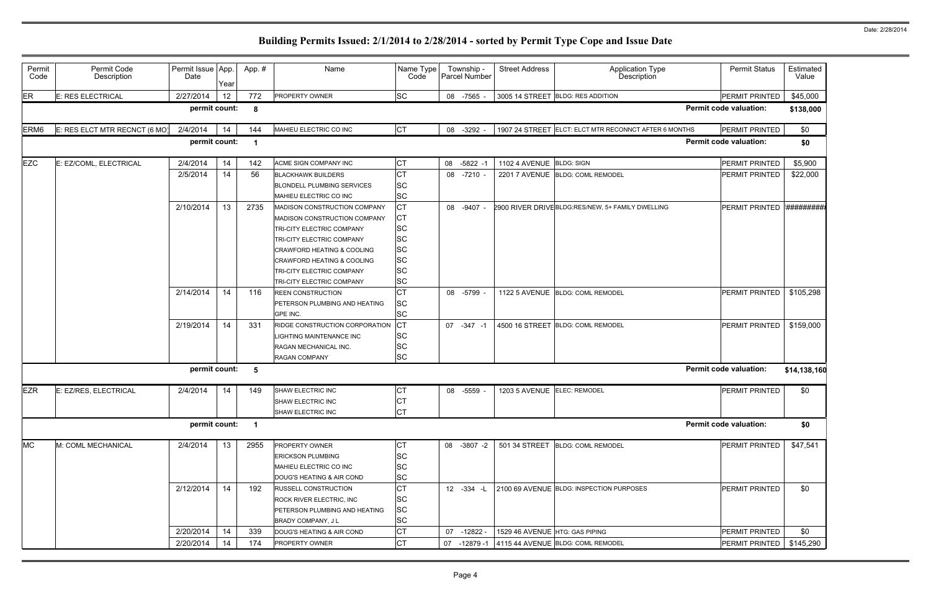| Permit<br>Code   | Permit Code<br>Description    | Permit Issue App.<br>Date | Year | App. #         | Name                                                                                                                                                                                                                                                    | Name Type<br>Code                                                        | Township -<br>Parcel Number | <b>Street Address</b>          | <b>Application Type</b><br>Description                | <b>Permit Status</b>          | Estimated<br>Value |
|------------------|-------------------------------|---------------------------|------|----------------|---------------------------------------------------------------------------------------------------------------------------------------------------------------------------------------------------------------------------------------------------------|--------------------------------------------------------------------------|-----------------------------|--------------------------------|-------------------------------------------------------|-------------------------------|--------------------|
| ER               | <b>E: RES ELECTRICAL</b>      | 2/27/2014                 | 12   | 772            | <b>PROPERTY OWNER</b>                                                                                                                                                                                                                                   | <b>SC</b>                                                                | 08 -7565                    |                                | 3005 14 STREET BLDG: RES ADDITION                     | PERMIT PRINTED                | \$45,000           |
|                  |                               | permit count:             |      | -8             |                                                                                                                                                                                                                                                         |                                                                          |                             |                                |                                                       | <b>Permit code valuation:</b> | \$138,000          |
| ERM <sub>6</sub> | E: RES ELCT MTR RECNCT (6 MO) | 2/4/2014                  | 14   | 144            | MAHIEU ELECTRIC CO INC                                                                                                                                                                                                                                  | <b>CT</b>                                                                | 08 -3292                    |                                | 1907 24 STREET ELCT: ELCT MTR RECONNCT AFTER 6 MONTHS | PERMIT PRINTED                | \$0                |
|                  |                               | permit count:             |      | -1             |                                                                                                                                                                                                                                                         |                                                                          |                             |                                |                                                       | <b>Permit code valuation:</b> | \$0                |
| <b>EZC</b>       | E: EZ/COML, ELECTRICAL        | 2/4/2014                  | 14   | 142            | ACME SIGN COMPANY INC                                                                                                                                                                                                                                   | СT                                                                       | 08<br>$-5822 - 1$           | 1102 4 AVENUE BLDG: SIGN       |                                                       | PERMIT PRINTED                | \$5,900            |
|                  |                               | 2/5/2014                  | 14   | 56             | <b>BLACKHAWK BUILDERS</b><br>BLONDELL PLUMBING SERVICES<br>MAHIEU ELECTRIC CO INC                                                                                                                                                                       | СT<br><b>SC</b><br><b>SC</b>                                             | 08 -7210                    |                                | 2201 7 AVENUE BLDG: COML REMODEL                      | PERMIT PRINTED                | \$22,000           |
|                  |                               | 2/10/2014                 | 13   | 2735           | MADISON CONSTRUCTION COMPANY<br>MADISON CONSTRUCTION COMPANY<br>TRI-CITY ELECTRIC COMPANY<br>TRI-CITY ELECTRIC COMPANY<br>CRAWFORD HEATING & COOLING<br><b>CRAWFORD HEATING &amp; COOLING</b><br>TRI-CITY ELECTRIC COMPANY<br>TRI-CITY ELECTRIC COMPANY | <b>CT</b><br>СT<br>SC<br>SC<br><b>SC</b><br>SC<br><b>SC</b><br><b>SC</b> | 08<br>-9407                 |                                | 2900 RIVER DRIVE BLDG:RES/NEW, 5+ FAMILY DWELLING     | PERMIT PRINTED                | #########          |
|                  |                               | 2/14/2014                 | 14   | 116            | <b>REEN CONSTRUCTION</b><br>PETERSON PLUMBING AND HEATING<br>GPE INC.                                                                                                                                                                                   | <b>CT</b><br>SC<br><b>SC</b>                                             | 08 -5799                    |                                | 1122 5 AVENUE BLDG: COML REMODEL                      | <b>PERMIT PRINTED</b>         | \$105,298          |
|                  |                               | 2/19/2014                 | 14   | 331            | RIDGE CONSTRUCTION CORPORATION<br>LIGHTING MAINTENANCE INC<br>RAGAN MECHANICAL INC.<br>RAGAN COMPANY                                                                                                                                                    | <b>CT</b><br><b>SC</b><br>SC<br><b>SC</b>                                | 07 -347 -1                  |                                | 4500 16 STREET BLDG: COML REMODEL                     | PERMIT PRINTED                | \$159,000          |
|                  |                               | permit count:             |      | -5             |                                                                                                                                                                                                                                                         |                                                                          |                             |                                |                                                       | <b>Permit code valuation:</b> | \$14,138,160       |
| <b>EZR</b>       | E: EZ/RES, ELECTRICAL         | 2/4/2014                  | 14   | 149            | SHAW ELECTRIC INC<br>SHAW ELECTRIC INC<br>SHAW ELECTRIC INC                                                                                                                                                                                             | СT<br>UI<br>СT                                                           | 08 -5559                    | 1203 5 AVENUE ELEC: REMODEL    |                                                       | PERMIT PRINTED                | \$0                |
|                  |                               | permit count:             |      | $\overline{1}$ |                                                                                                                                                                                                                                                         |                                                                          |                             |                                |                                                       | <b>Permit code valuation:</b> | \$0                |
| <b>MC</b>        | M: COML MECHANICAL            | 2/4/2014                  | 13   | 2955           | PROPERTY OWNER<br><b>ERICKSON PLUMBING</b><br>MAHIEU ELECTRIC CO INC<br>DOUG'S HEATING & AIR COND                                                                                                                                                       | CТ<br>SC<br>SC<br><b>SC</b>                                              | 08 -3807 -2                 |                                | 501 34 STREET BLDG: COML REMODEL                      | PERMIT PRINTED                | \$47,541           |
|                  |                               | 2/12/2014                 | 14   | 192            | <b>RUSSELL CONSTRUCTION</b><br>ROCK RIVER ELECTRIC, INC<br><b>PETERSON PLUMBING AND HEATING</b><br>BRADY COMPANY, JL                                                                                                                                    | СT<br><b>SC</b><br><b>SC</b><br><b>SC</b>                                | 12 - 334 - L                |                                | 2100 69 AVENUE BLDG: INSPECTION PURPOSES              | PERMIT PRINTED                | \$0                |
|                  |                               | 2/20/2014                 | 14   | 339            | DOUG'S HEATING & AIR COND                                                                                                                                                                                                                               | СT                                                                       | 07 -12822 -                 | 1529 46 AVENUE HTG: GAS PIPING |                                                       | PERMIT PRINTED                | \$0                |
|                  |                               | 2/20/2014                 | 14   | 174            | PROPERTY OWNER                                                                                                                                                                                                                                          | СT                                                                       | 07<br>-12879 -1             |                                | 4115 44 AVENUE BLDG: COML REMODEL                     | PERMIT PRINTED                | \$145,290          |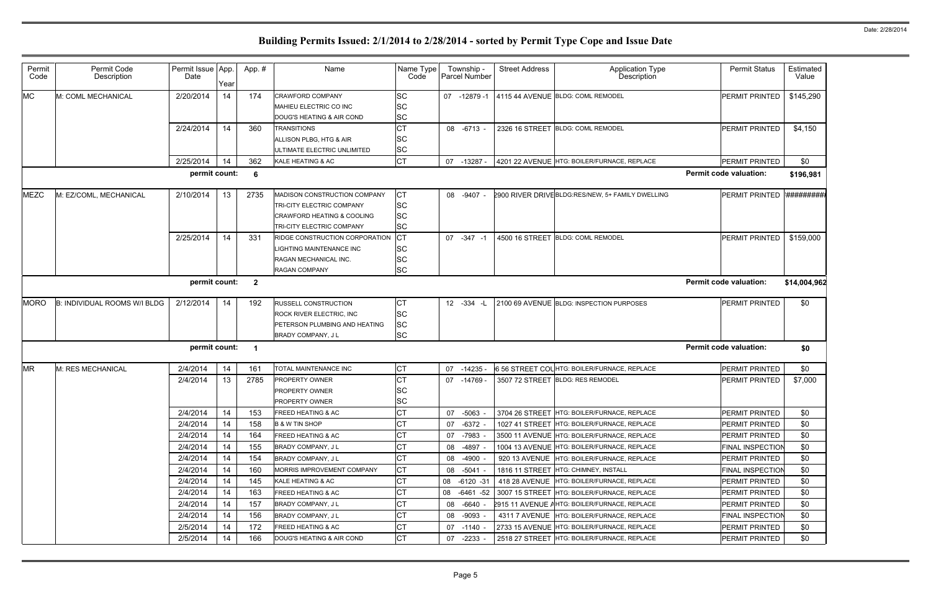| Permit<br>Code                                      | Permit Code<br>Description   | Permit Issue App.<br>Date | Year | App.#                   | Name                                                                                                                            | Name Type<br>Code                          | Township -<br><b>Parcel Number</b> | <b>Street Address</b> | Application Type<br>Description                       | <b>Permit Status</b>          | Estimated<br>Value |
|-----------------------------------------------------|------------------------------|---------------------------|------|-------------------------|---------------------------------------------------------------------------------------------------------------------------------|--------------------------------------------|------------------------------------|-----------------------|-------------------------------------------------------|-------------------------------|--------------------|
| <b>MC</b>                                           | M: COML MECHANICAL           | 2/20/2014                 | 14   | 174                     | <b>CRAWFORD COMPANY</b><br>MAHIEU ELECTRIC CO INC<br>DOUG'S HEATING & AIR COND                                                  | <b>SC</b><br>SC<br><b>SC</b>               | -12879 -1<br>07                    |                       | 4115 44 AVENUE BLDG: COML REMODEL                     | PERMIT PRINTED                | \$145,290          |
|                                                     |                              | 2/24/2014                 | 14   | 360                     | <b>TRANSITIONS</b><br>ALLISON PLBG, HTG & AIR<br>ULTIMATE ELECTRIC UNLIMITED                                                    | <b>CT</b><br><b>SC</b><br><b>SC</b>        | 08 -6713 -                         |                       | 2326 16 STREET BLDG: COML REMODEL                     | PERMIT PRINTED                | \$4,150            |
|                                                     |                              | 2/25/2014                 | 14   | 362                     | KALE HEATING & AC                                                                                                               | <b>CT</b>                                  | 07 -13287 -                        |                       | 4201 22 AVENUE HTG: BOILER/FURNACE, REPLACE           | PERMIT PRINTED                | \$0                |
| permit count:<br><b>Permit code valuation:</b><br>6 |                              |                           |      |                         |                                                                                                                                 |                                            |                                    |                       |                                                       |                               | \$196,981          |
| <b>MEZC</b>                                         | M: EZ/COML, MECHANICAL       | 2/10/2014                 | 13   | 2735                    | MADISON CONSTRUCTION COMPANY<br>TRI-CITY ELECTRIC COMPANY<br><b>CRAWFORD HEATING &amp; COOLING</b><br>TRI-CITY ELECTRIC COMPANY | CТ<br><b>SC</b><br><b>SC</b><br><b>SC</b>  | 08 -9407 -                         |                       | 2900 RIVER DRIVE BLDG:RES/NEW, 5+ FAMILY DWELLING     | <b>PERMIT PRINTED</b>         | *#########         |
|                                                     |                              | 2/25/2014                 | 14   | 331                     | RIDGE CONSTRUCTION CORPORATION<br>LIGHTING MAINTENANCE INC<br>RAGAN MECHANICAL INC.<br><b>RAGAN COMPANY</b>                     | <b>ICT</b><br>SC<br><b>SC</b><br><b>SC</b> | 07 -347 -1                         |                       | 4500 16 STREET BLDG: COML REMODEL                     | PERMIT PRINTED                | \$159,000          |
|                                                     |                              | permit count:             |      | $\overline{\mathbf{2}}$ |                                                                                                                                 |                                            |                                    |                       |                                                       | <b>Permit code valuation:</b> | \$14,004,962       |
| <b>MORO</b>                                         | B: INDIVIDUAL ROOMS W/I BLDG | 2/12/2014                 | 14   | 192                     | <b>RUSSELL CONSTRUCTION</b><br>ROCK RIVER ELECTRIC, INC<br>PETERSON PLUMBING AND HEATING<br>BRADY COMPANY, J L                  | СT<br><b>SC</b><br><b>SC</b><br><b>SC</b>  | 12 - 334 - L                       |                       | 2100 69 AVENUE BLDG: INSPECTION PURPOSES              | PERMIT PRINTED                | \$0                |
|                                                     |                              | permit count:             |      | -1                      |                                                                                                                                 |                                            |                                    |                       |                                                       | <b>Permit code valuation:</b> | \$0                |
| <b>MR</b>                                           | M: RES MECHANICAL            | 2/4/2014                  | 14   | 161                     | TOTAL MAINTENANCE INC                                                                                                           | <b>CT</b>                                  | 07<br>$-14235$                     |                       | 6 56 STREET COLHTG: BOILER/FURNACE, REPLACE           | PERMIT PRINTED                | \$0                |
|                                                     |                              | 2/4/2014                  | 13   | 2785                    | <b>PROPERTY OWNER</b><br><b>PROPERTY OWNER</b><br>PROPERTY OWNER                                                                | <b>CT</b><br><b>SC</b><br><b>SC</b>        | 07 -14769                          |                       | 3507 72 STREET BLDG: RES REMODEL                      | PERMIT PRINTED                | \$7,000            |
|                                                     |                              | 2/4/2014                  | 14   | 153                     | <b>FREED HEATING &amp; AC</b>                                                                                                   | CT                                         | 07 -5063                           |                       | 3704 26 STREET HTG: BOILER/FURNACE, REPLACE           | <b>PERMIT PRINTED</b>         | \$0                |
|                                                     |                              | 2/4/2014                  | 14   | 158                     | <b>B &amp; W TIN SHOP</b>                                                                                                       | CT                                         | 07<br>-6372                        |                       | 1027 41 STREET HTG: BOILER/FURNACE, REPLACE           | <b>PERMIT PRINTED</b>         | \$0                |
|                                                     |                              | 2/4/2014                  | 14   | 164                     | <b>FREED HEATING &amp; AC</b>                                                                                                   | СT                                         | 07 -7983                           |                       | 3500 11 AVENUE HTG: BOILER/FURNACE, REPLACE           | PERMIT PRINTED                | \$0                |
|                                                     |                              | 2/4/2014                  | 14   | 155                     | <b>BRADY COMPANY, JL</b>                                                                                                        | СT                                         | 08<br>-4897                        |                       | 1004 13 AVENUE HTG: BOILER/FURNACE, REPLACE           | <b>FINAL INSPECTION</b>       | \$0                |
|                                                     |                              | 2/4/2014                  | 14   | 154                     | <b>BRADY COMPANY, JL</b>                                                                                                        | СT                                         | 08 -4900                           |                       | 920 13 AVENUE HTG: BOILER/FURNACE, REPLACE            | <b>PERMIT PRINTED</b>         | \$0                |
|                                                     |                              | 2/4/2014                  | 14   | 160                     | MORRIS IMPROVEMENT COMPANY                                                                                                      | СT                                         | 08<br>-5041                        |                       | 1816 11 STREET HTG: CHIMNEY, INSTALL                  | <b>FINAL INSPECTION</b>       | \$0                |
|                                                     |                              | 2/4/2014                  | 14   | 145                     | KALE HEATING & AC                                                                                                               | СT                                         | 08 -6120 -31                       |                       | 418 28 AVENUE HTG: BOILER/FURNACE, REPLACE            | PERMIT PRINTED                | \$0                |
|                                                     |                              | 2/4/2014                  | 14   | 163                     | <b>FREED HEATING &amp; AC</b>                                                                                                   | <b>CT</b>                                  | 08                                 |                       | -6461 -52 3007 15 STREET HTG: BOILER/FURNACE, REPLACE | <b>PERMIT PRINTED</b>         | \$0                |
|                                                     |                              | 2/4/2014                  | 14   | 157                     | <b>BRADY COMPANY, JL</b>                                                                                                        | СT                                         | 08 -6640                           |                       | 2915 11 AVENUE AHTG: BOILER/FURNACE, REPLACE          | <b>PERMIT PRINTED</b>         | \$0                |
|                                                     |                              | 2/4/2014                  | 14   | 156                     | <b>BRADY COMPANY, JL</b>                                                                                                        | CT                                         | 08 -9093                           |                       | 4311 7 AVENUE HTG: BOILER/FURNACE, REPLACE            | <b>FINAL INSPECTION</b>       | \$0                |
|                                                     |                              | 2/5/2014                  | 14   | 172                     | <b>FREED HEATING &amp; AC</b>                                                                                                   | СT                                         | 07 -1140                           |                       | 2733 15 AVENUE HTG: BOILER/FURNACE, REPLACE           | <b>PERMIT PRINTED</b>         | \$0                |
|                                                     |                              | 2/5/2014                  | 14   | 166                     | DOUG'S HEATING & AIR COND                                                                                                       | CT                                         | 07<br>-2233                        |                       | 2518 27 STREET HTG: BOILER/FURNACE, REPLACE           | <b>PERMIT PRINTED</b>         | \$0                |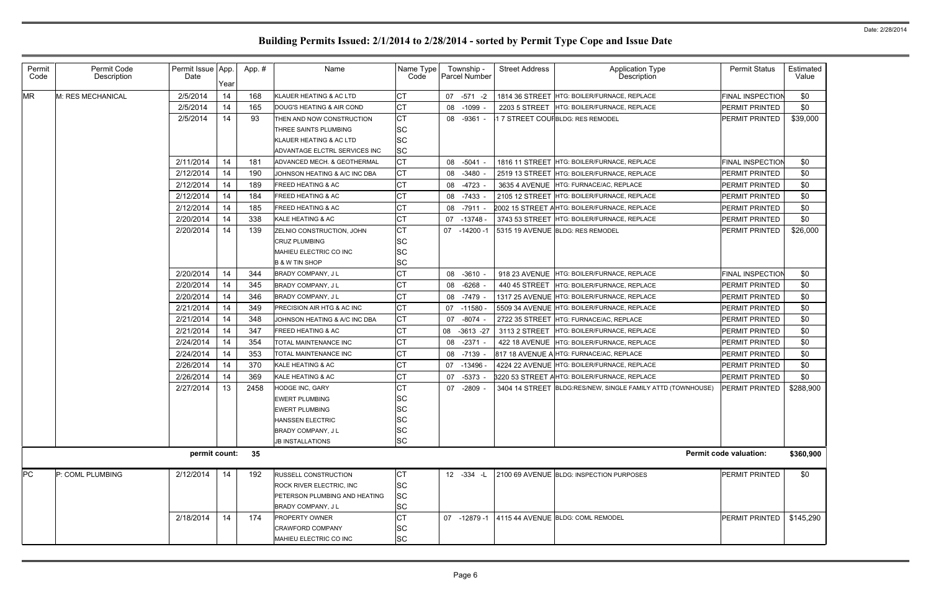| Permit    | Permit Code       | Permit Issue App. |      | App.# | Name                             | Name Type | Township -           | <b>Street Address</b> | <b>Application Type</b>                                     | <b>Permit Status</b>          | Estimated |
|-----------|-------------------|-------------------|------|-------|----------------------------------|-----------|----------------------|-----------------------|-------------------------------------------------------------|-------------------------------|-----------|
| Code      | Description       | Date              | Year |       |                                  | Code      | <b>Parcel Number</b> |                       | Description                                                 |                               | Value     |
| <b>MR</b> | M: RES MECHANICAL | 2/5/2014          | 14   | 168   | KLAUER HEATING & AC LTD          | CT        | 07 -571 -2           |                       | 1814 36 STREET HTG: BOILER/FURNACE, REPLACE                 | <b>FINAL INSPECTION</b>       | \$0       |
|           |                   | 2/5/2014          | 14   | 165   | DOUG'S HEATING & AIR COND        | <b>CT</b> | 08<br>$-1099$        | 2203 5 STREET         | HTG: BOILER/FURNACE, REPLACE                                | PERMIT PRINTED                | \$0       |
|           |                   | 2/5/2014          | 14   | 93    | THEN AND NOW CONSTRUCTION        | CT        | 08 -9361 -           |                       | 17 STREET COUFBLDG: RES REMODEL                             | PERMIT PRINTED                | \$39,000  |
|           |                   |                   |      |       | THREE SAINTS PLUMBING            | <b>SC</b> |                      |                       |                                                             |                               |           |
|           |                   |                   |      |       | KLAUER HEATING & AC LTD          | <b>SC</b> |                      |                       |                                                             |                               |           |
|           |                   |                   |      |       | ADVANTAGE ELCTRL SERVICES INC    | <b>SC</b> |                      |                       |                                                             |                               |           |
|           |                   | 2/11/2014         | 14   | 181   | ADVANCED MECH. & GEOTHERMAL      | <b>CT</b> | 08<br>$-5041$        |                       | 1816 11 STREET HTG: BOILER/FURNACE, REPLACE                 | <b>FINAL INSPECTION</b>       | \$0       |
|           |                   | 2/12/2014         | 14   | 190   | JOHNSON HEATING & A/C INC DBA    | <b>CT</b> | $-3480$<br>08        | 2519 13 STREET        | HTG: BOILER/FURNACE, REPLACE                                | <b>PERMIT PRINTED</b>         | \$0       |
|           |                   | 2/12/2014         | 14   | 189   | <b>FREED HEATING &amp; AC</b>    | СT        | 08<br>$-4723$        | 3635 4 AVENUE         | HTG: FURNACE/AC, REPLACE                                    | PERMIT PRINTED                | \$0       |
|           |                   | 2/12/2014         | 14   | 184   | <b>FREED HEATING &amp; AC</b>    | <b>CT</b> | -7433<br>08          | 2105 12 STREET        | HTG: BOILER/FURNACE, REPLACE                                | <b>PERMIT PRINTED</b>         | \$0       |
|           |                   | 2/12/2014         | 14   | 185   | <b>FREED HEATING &amp; AC</b>    | СT        | 08<br>-7911          |                       | 2002 15 STREET AHTG: BOILER/FURNACE, REPLACE                | PERMIT PRINTED                | \$0       |
|           |                   | 2/20/2014         | 14   | 338   | KALE HEATING & AC                | <b>CT</b> | $-13748$<br>07       |                       | 3743 53 STREET HTG: BOILER/FURNACE, REPLACE                 | PERMIT PRINTED                | \$0       |
|           |                   | 2/20/2014         | 14   | 139   | ZELNIO CONSTRUCTION, JOHN        | <b>CT</b> | $-14200 - 1$<br>07   |                       | 5315 19 AVENUE BLDG: RES REMODEL                            | <b>PERMIT PRINTED</b>         | \$26,000  |
|           |                   |                   |      |       | <b>CRUZ PLUMBING</b>             | <b>SC</b> |                      |                       |                                                             |                               |           |
|           |                   |                   |      |       | MAHIEU ELECTRIC CO INC           | SC        |                      |                       |                                                             |                               |           |
|           |                   |                   |      |       | <b>B &amp; W TIN SHOP</b>        | <b>SC</b> |                      |                       |                                                             |                               |           |
|           |                   | 2/20/2014         | 14   | 344   | BRADY COMPANY, J L               | <b>CT</b> | $-3610$<br>08        | 918 23 AVENUE         | <b>HTG: BOILER/FURNACE, REPLACE</b>                         | FINAL INSPECTION              | \$0       |
|           |                   | 2/20/2014         | 14   | 345   | BRADY COMPANY, J L               | <b>CT</b> | $-6268$<br>08        | 440 45 STREET         | HTG: BOILER/FURNACE, REPLACE                                | PERMIT PRINTED                | \$0       |
|           |                   | 2/20/2014         | 14   | 346   | BRADY COMPANY, J L               | <b>CT</b> | 08<br>-7479          |                       | 1317 25 AVENUE HTG: BOILER/FURNACE, REPLACE                 | PERMIT PRINTED                | \$0       |
|           |                   | 2/21/2014         | 14   | 349   | PRECISION AIR HTG & AC INC       | <b>CT</b> | 07<br>-11580 -       |                       | 5509 34 AVENUE HTG: BOILER/FURNACE, REPLACE                 | PERMIT PRINTED                | \$0       |
|           |                   | 2/21/2014         | 14   | 348   | JOHNSON HEATING & A/C INC DBA    | <b>CT</b> | -8074<br>07          |                       | 2722 35 STREET HTG: FURNACE/AC, REPLACE                     | PERMIT PRINTED                | \$0       |
|           |                   | 2/21/2014         | 14   | 347   | <b>FREED HEATING &amp; AC</b>    | <b>CT</b> | 80<br>$-3613 -27$    | 3113 2 STREET         | HTG: BOILER/FURNACE, REPLACE                                | PERMIT PRINTED                | \$0       |
|           |                   | 2/24/2014         | 14   | 354   | TOTAL MAINTENANCE INC            | <b>CT</b> | $-2371$<br>08        | <b>422 18 AVENUE</b>  | HTG: BOILER/FURNACE, REPLACE                                | PERMIT PRINTED                | \$0       |
|           |                   | 2/24/2014         | 14   | 353   | TOTAL MAINTENANCE INC            | СT        | -7139<br>08          |                       | 817 18 AVENUE A HTG: FURNACE/AC, REPLACE                    | PERMIT PRINTED                | \$0       |
|           |                   | 2/26/2014         | 14   | 370   | KALE HEATING & AC                | <b>CT</b> | $-13496$<br>07       |                       | 4224 22 AVENUE HTG: BOILER/FURNACE, REPLACE                 | PERMIT PRINTED                | \$0       |
|           |                   | 2/26/2014         | 14   | 369   | <b>KALE HEATING &amp; AC</b>     | <b>CT</b> | 07<br>$-5373$        |                       | 3220 53 STREET AHTG: BOILER/FURNACE, REPLACE                | PERMIT PRINTED                | \$0       |
|           |                   | 2/27/2014         | 13   | 2458  | HODGE INC, GARY                  | <b>CT</b> | 07 -2809             |                       | 3404 14 STREET BLDG:RES/NEW, SINGLE FAMILY ATTD (TOWNHOUSE) | <b>PERMIT PRINTED</b>         | \$288,900 |
|           |                   |                   |      |       | <b>EWERT PLUMBING</b>            | lsc.      |                      |                       |                                                             |                               |           |
|           |                   |                   |      |       | <b>EWERT PLUMBING</b>            | <b>SC</b> |                      |                       |                                                             |                               |           |
|           |                   |                   |      |       | <b>HANSSEN ELECTRIC</b>          | SC        |                      |                       |                                                             |                               |           |
|           |                   |                   |      |       | <b>BRADY COMPANY, JL</b>         | <b>SC</b> |                      |                       |                                                             |                               |           |
|           |                   |                   |      |       | <b>JB INSTALLATIONS</b>          | <b>SC</b> |                      |                       |                                                             |                               |           |
|           |                   | permit count:     |      | 35    |                                  |           |                      |                       |                                                             | <b>Permit code valuation:</b> | \$360,900 |
| PC        | P: COML PLUMBING  | 2/12/2014         | 14   | 192   | RUSSELL CONSTRUCTION             | СT        | 12 -334 -L           |                       | 2100 69 AVENUE BLDG: INSPECTION PURPOSES                    | PERMIT PRINTED                | \$0       |
|           |                   |                   |      |       | <b>ROCK RIVER ELECTRIC, INC.</b> | <b>SC</b> |                      |                       |                                                             |                               |           |
|           |                   |                   |      |       | PETERSON PLUMBING AND HEATING    | <b>SC</b> |                      |                       |                                                             |                               |           |
|           |                   |                   |      |       | BRADY COMPANY, JL                | <b>SC</b> |                      |                       |                                                             |                               |           |
|           |                   | 2/18/2014         | 14   | 174   | <b>PROPERTY OWNER</b>            | СT        | 07 -12879 -1         |                       | 4115 44 AVENUE BLDG: COML REMODEL                           | <b>PERMIT PRINTED</b>         | \$145,290 |
|           |                   |                   |      |       | <b>CRAWFORD COMPANY</b>          | <b>SC</b> |                      |                       |                                                             |                               |           |
|           |                   |                   |      |       | MAHIEU ELECTRIC CO INC           | <b>SC</b> |                      |                       |                                                             |                               |           |
|           |                   |                   |      |       |                                  |           |                      |                       |                                                             |                               |           |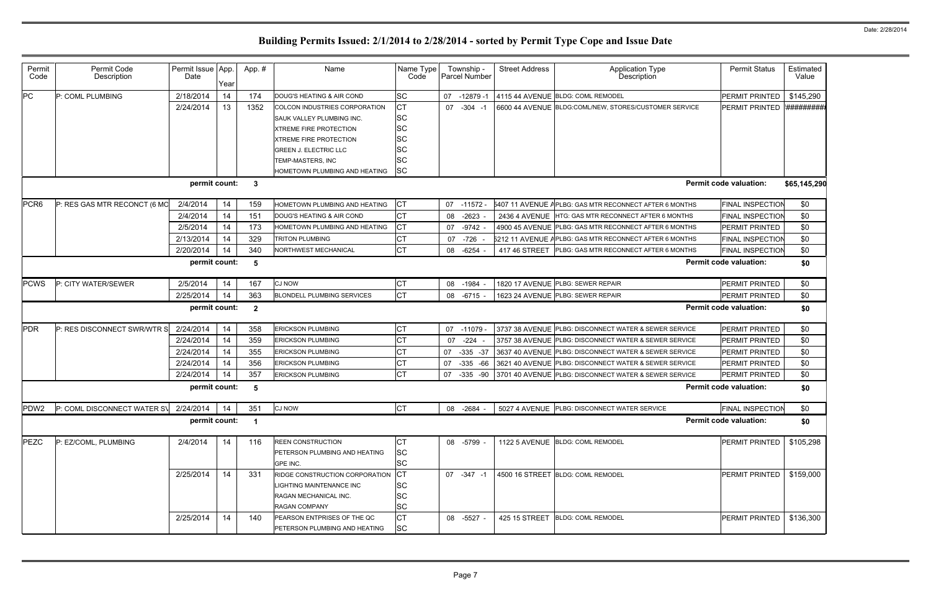| Permit<br>Code   | Permit Code<br>Description                                           | Permit Issue App.<br>Date | Year | App. #                  | Name                              | Name Type<br>Code | Township -<br><b>Parcel Number</b> | <b>Street Address</b> | <b>Application Type</b><br>Description                            | <b>Permit Status</b>          | Estimated<br>Value |  |
|------------------|----------------------------------------------------------------------|---------------------------|------|-------------------------|-----------------------------------|-------------------|------------------------------------|-----------------------|-------------------------------------------------------------------|-------------------------------|--------------------|--|
| PC               | P: COML PLUMBING                                                     | 2/18/2014                 | 14   | 174                     | DOUG'S HEATING & AIR COND         | <b>SC</b>         | 07<br>$-12879 - 7$                 |                       | 4115 44 AVENUE BLDG: COML REMODEL                                 | PERMIT PRINTED                | \$145,290          |  |
|                  |                                                                      | 2/24/2014                 | 13   | 1352                    | COLCON INDUSTRIES CORPORATION     | <b>CT</b>         | 07<br>$-304 - 1$                   |                       | 6600 44 AVENUE BLDG:COML/NEW, STORES/CUSTOMER SERVICE             | PERMIT PRINTED                | <i>**********</i>  |  |
|                  |                                                                      |                           |      |                         | <b>SAUK VALLEY PLUMBING INC.</b>  | <b>SC</b>         |                                    |                       |                                                                   |                               |                    |  |
|                  |                                                                      |                           |      |                         | <b>XTREME FIRE PROTECTION</b>     | SC                |                                    |                       |                                                                   |                               |                    |  |
|                  |                                                                      |                           |      |                         | <b>XTREME FIRE PROTECTION</b>     | SC                |                                    |                       |                                                                   |                               |                    |  |
|                  |                                                                      |                           |      |                         | <b>GREEN J. ELECTRIC LLC</b>      | SC                |                                    |                       |                                                                   |                               |                    |  |
|                  |                                                                      |                           |      |                         | <b>TEMP-MASTERS, INC</b>          | SC                |                                    |                       |                                                                   |                               |                    |  |
|                  |                                                                      |                           |      |                         | HOMETOWN PLUMBING AND HEATING     | <b>SC</b>         |                                    |                       |                                                                   |                               |                    |  |
|                  | permit count:<br><b>Permit code valuation:</b><br>-3<br>\$65,145,290 |                           |      |                         |                                   |                   |                                    |                       |                                                                   |                               |                    |  |
| PCR <sub>6</sub> | P: RES GAS MTR RECONCT (6 MO                                         | 2/4/2014                  | 14   | 159                     | HOMETOWN PLUMBING AND HEATING     | <b>CT</b>         | 07<br>$-11572$                     |                       | 5407 11 AVENUE APLBG: GAS MTR RECONNECT AFTER 6 MONTHS            | <b>FINAL INSPECTION</b>       | \$0                |  |
|                  |                                                                      | 2/4/2014                  | 14   | 151                     | DOUG'S HEATING & AIR COND         | <b>CT</b>         | $-2623$<br>08                      | <b>2436 4 AVENUE</b>  | HTG: GAS MTR RECONNECT AFTER 6 MONTHS                             | FINAL INSPECTION              | \$0                |  |
|                  |                                                                      | 2/5/2014                  | 14   | 173                     | HOMETOWN PLUMBING AND HEATING     | CT                | $-9742$<br>07                      |                       | 4900 45 AVENUE PLBG: GAS MTR RECONNECT AFTER 6 MONTHS             | <b>PERMIT PRINTED</b>         | \$0                |  |
|                  |                                                                      | 2/13/2014                 | 14   | 329                     | <b>TRITON PLUMBING</b>            | СT                | -726<br>07                         |                       | 5212 11 AVENUE APLBG: GAS MTR RECONNECT AFTER 6 MONTHS            | FINAL INSPECTION              | \$0                |  |
|                  |                                                                      | 2/20/2014                 | 14   | 340                     | NORTHWEST MECHANICAL              | <b>CT</b>         | 08 -6254                           | 417 46 STREET         | PLBG: GAS MTR RECONNECT AFTER 6 MONTHS                            | FINAL INSPECTION              | \$0                |  |
|                  | permit count:<br><b>Permit code valuation:</b><br>\$0<br>-5          |                           |      |                         |                                   |                   |                                    |                       |                                                                   |                               |                    |  |
| <b>PCWS</b>      | P: CITY WATER/SEWER                                                  | 2/5/2014                  | 14   | 167                     | <b>CJ NOW</b>                     | СT                | 08 -1984                           |                       | 1820 17 AVENUE PLBG: SEWER REPAIR                                 | PERMIT PRINTED                | \$0                |  |
|                  |                                                                      | 2/25/2014                 | 14   | 363                     | <b>BLONDELL PLUMBING SERVICES</b> | <b>CT</b>         | $-6715$<br>08                      |                       | 1623 24 AVENUE PLBG: SEWER REPAIR                                 | PERMIT PRINTED                | \$0                |  |
|                  |                                                                      | permit count:             |      | $\overline{\mathbf{2}}$ |                                   |                   |                                    |                       |                                                                   | <b>Permit code valuation:</b> | \$0                |  |
| PDR              | P: RES DISCONNECT SWR/WTR S                                          | 2/24/2014                 | 14   | 358                     | <b>ERICKSON PLUMBING</b>          | СT                | 07<br>$-11079$                     |                       | 3737 38 AVENUE PLBG: DISCONNECT WATER & SEWER SERVICE             | PERMIT PRINTED                | \$0                |  |
|                  |                                                                      | 2/24/2014                 | 14   | 359                     | <b>ERICKSON PLUMBING</b>          | <b>CT</b>         | 07<br>$-224$                       |                       | 3757 38 AVENUE PLBG: DISCONNECT WATER & SEWER SERVICE             | PERMIT PRINTED                | \$0                |  |
|                  |                                                                      | 2/24/2014                 | 14   | 355                     | <b>ERICKSON PLUMBING</b>          | СT                | 07<br>-335 -37                     |                       | 3637 40 AVENUE PLBG: DISCONNECT WATER & SEWER SERVICE             | PERMIT PRINTED                | \$0                |  |
|                  |                                                                      | 2/24/2014                 | 14   | 356                     | <b>ERICKSON PLUMBING</b>          | СT                | 07<br>$-335 -66$                   |                       | 3621 40 AVENUE PLBG: DISCONNECT WATER & SEWER SERVICE             | PERMIT PRINTED                | \$0                |  |
|                  |                                                                      | 2/24/2014                 | 14   | 357                     | <b>ERICKSON PLUMBING</b>          | <b>CT</b>         |                                    |                       | 07 -335 -90 3701 40 AVENUE PLBG: DISCONNECT WATER & SEWER SERVICE | PERMIT PRINTED                | \$0                |  |
|                  |                                                                      | permit count:             |      | -5                      |                                   |                   |                                    |                       |                                                                   | <b>Permit code valuation:</b> | \$0                |  |
| PDW <sub>2</sub> | P: COML DISCONNECT WATER SV                                          | 2/24/2014                 | 14   | 351                     | <b>CJ NOW</b>                     | <b>CT</b>         | 08 -2684                           |                       | 5027 4 AVENUE PLBG: DISCONNECT WATER SERVICE                      | <b>FINAL INSPECTION</b>       | \$0                |  |
|                  |                                                                      | permit count:             |      | $\overline{\mathbf{1}}$ |                                   |                   |                                    |                       |                                                                   | <b>Permit code valuation:</b> | \$0                |  |
| PEZC             | P: EZ/COML, PLUMBING                                                 | 2/4/2014                  | 14   | 116                     | <b>REEN CONSTRUCTION</b>          | CТ                | 08 -5799                           |                       | 1122 5 AVENUE BLDG: COML REMODEL                                  | PERMIT PRINTED                | \$105,298          |  |
|                  |                                                                      |                           |      |                         | PETERSON PLUMBING AND HEATING     | SC                |                                    |                       |                                                                   |                               |                    |  |
|                  |                                                                      |                           |      |                         | GPE INC.                          | SC                |                                    |                       |                                                                   |                               |                    |  |
|                  |                                                                      | 2/25/2014                 | 14   | 331                     | RIDGE CONSTRUCTION CORPORATION    | IСТ               | 07 -347 -1                         |                       | 4500 16 STREET BLDG: COML REMODEL                                 | PERMIT PRINTED                | \$159,000          |  |
|                  |                                                                      |                           |      |                         | LIGHTING MAINTENANCE INC          | SC                |                                    |                       |                                                                   |                               |                    |  |
|                  |                                                                      |                           |      |                         | <b>RAGAN MECHANICAL INC.</b>      | SC                |                                    |                       |                                                                   |                               |                    |  |
|                  |                                                                      |                           |      |                         | <b>RAGAN COMPANY</b>              | <b>SC</b>         |                                    |                       |                                                                   |                               |                    |  |
|                  |                                                                      | 2/25/2014                 | 14   | 140                     | PEARSON ENTPRISES OF THE QC       | СT                | 08 -5527                           | 425 15 STREET         | <b>BLDG: COML REMODEL</b>                                         | PERMIT PRINTED                | \$136,300          |  |
|                  |                                                                      |                           |      |                         | PETERSON PLUMBING AND HEATING     | <b>SC</b>         |                                    |                       |                                                                   |                               |                    |  |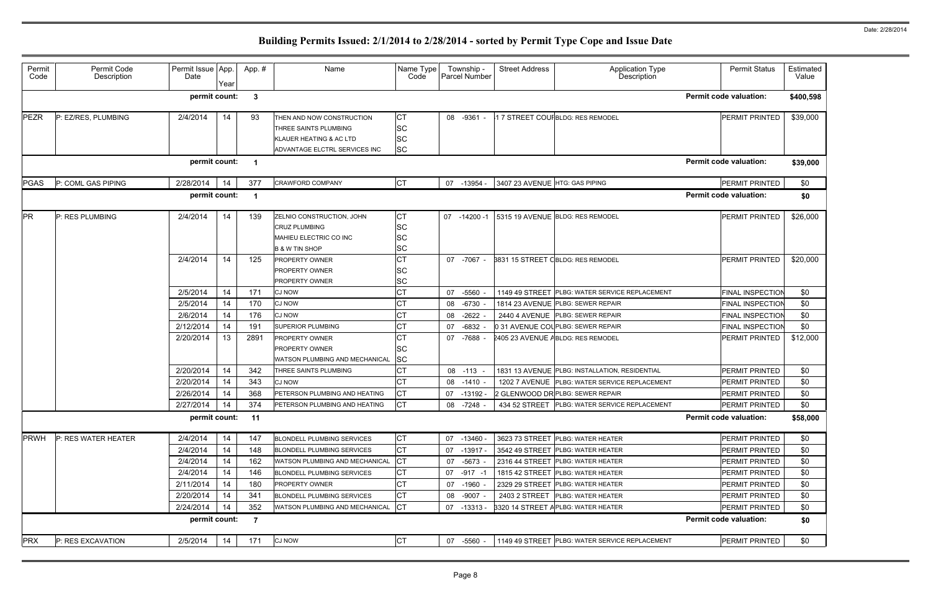| Permit<br>Code | Permit Code<br>Description | Permit Issue App.<br>Date | Year | App.#                   | Name                                                                                                                      | Name Type<br>Code                                | Township -<br>Parcel Number | <b>Street Address</b>          | <b>Application Type</b><br>Description         | <b>Permit Status</b>          | Estimated<br>Value |
|----------------|----------------------------|---------------------------|------|-------------------------|---------------------------------------------------------------------------------------------------------------------------|--------------------------------------------------|-----------------------------|--------------------------------|------------------------------------------------|-------------------------------|--------------------|
|                |                            | permit count:             |      | -3                      |                                                                                                                           |                                                  |                             |                                |                                                | <b>Permit code valuation:</b> | \$400,598          |
| <b>PEZR</b>    | P: EZ/RES, PLUMBING        | 2/4/2014                  | 14   | 93                      | THEN AND NOW CONSTRUCTION<br>THREE SAINTS PLUMBING<br><b>KLAUER HEATING &amp; AC LTD</b><br>ADVANTAGE ELCTRL SERVICES INC | CT<br><b>SC</b><br><b>SC</b><br><b>SC</b>        | 08 -9361                    |                                | 17 STREET COUFBLDG: RES REMODEL                | PERMIT PRINTED                | \$39,000           |
|                |                            | permit count:             |      | $\overline{\mathbf{1}}$ |                                                                                                                           |                                                  |                             |                                |                                                | <b>Permit code valuation:</b> | \$39,000           |
| <b>PGAS</b>    | P: COML GAS PIPING         | 2/28/2014                 | 14   | 377                     | <b>CRAWFORD COMPANY</b>                                                                                                   | <b>CT</b>                                        | 07 -13954                   | 3407 23 AVENUE HTG: GAS PIPING |                                                | PERMIT PRINTED                | \$0                |
|                |                            | permit count:             |      | - 1                     |                                                                                                                           |                                                  |                             |                                |                                                | <b>Permit code valuation:</b> | \$0                |
| <b>PR</b>      | P: RES PLUMBING            | 2/4/2014                  | 14   | 139                     | ZELNIO CONSTRUCTION, JOHN<br><b>CRUZ PLUMBING</b><br>MAHIEU ELECTRIC CO INC<br><b>B &amp; W TIN SHOP</b>                  | <b>CT</b><br><b>SC</b><br><b>SC</b><br><b>SC</b> | 07<br>$-14200 -$            |                                | 5315 19 AVENUE BLDG: RES REMODEL               | PERMIT PRINTED                | \$26,000           |
|                |                            | 2/4/2014                  | 14   | 125                     | <b>PROPERTY OWNER</b><br><b>PROPERTY OWNER</b><br><b>PROPERTY OWNER</b>                                                   | <b>CT</b><br><b>SC</b><br><b>SC</b>              | 07 -7067                    |                                | 3831 15 STREET CBLDG: RES REMODEL              | <b>PERMIT PRINTED</b>         | \$20,000           |
|                |                            | 2/5/2014                  | 14   | 171                     | <b>CJ NOW</b>                                                                                                             | <b>CT</b>                                        | $-5560$<br>07               |                                | 1149 49 STREET PLBG: WATER SERVICE REPLACEMENT | <b>FINAL INSPECTION</b>       | \$0                |
|                |                            | 2/5/2014                  | 14   | 170                     | <b>CJ NOW</b>                                                                                                             | <b>CT</b>                                        | $-6730$<br>08               |                                | 1814 23 AVENUE PLBG: SEWER REPAIR              | <b>FINAL INSPECTION</b>       | \$0                |
|                |                            | 2/6/2014                  | 14   | 176                     | <b>CJ NOW</b>                                                                                                             | <b>CT</b>                                        | $-2622$<br>08               |                                | 2440 4 AVENUE PLBG: SEWER REPAIR               | <b>FINAL INSPECTION</b>       | \$0                |
|                |                            | 2/12/2014                 | 14   | 191                     | <b>SUPERIOR PLUMBING</b>                                                                                                  | <b>CT</b>                                        | 07<br>-6832                 |                                | 0 31 AVENUE COLPLBG: SEWER REPAIR              | <b>FINAL INSPECTION</b>       | \$0                |
|                |                            | 2/20/2014                 | 13   | 2891                    | <b>PROPERTY OWNER</b><br><b>PROPERTY OWNER</b><br><b>WATSON PLUMBING AND MECHANICAL</b>                                   | <b>CT</b><br><b>SC</b><br><b>SC</b>              | 07 -7688                    |                                | 2405 23 AVENUE ABLDG: RES REMODEL              | <b>PERMIT PRINTED</b>         | \$12,000           |
|                |                            | 2/20/2014                 | 14   | 342                     | THREE SAINTS PLUMBING                                                                                                     | <b>CT</b>                                        | 08 -113                     |                                | 1831 13 AVENUE PLBG: INSTALLATION, RESIDENTIAL | PERMIT PRINTED                | \$0                |
|                |                            | 2/20/2014                 | 14   | 343                     | <b>CJ NOW</b>                                                                                                             | <b>CT</b>                                        | 08 -1410                    |                                | 1202 7 AVENUE PLBG: WATER SERVICE REPLACEMENT  | <b>PERMIT PRINTED</b>         | \$0                |
|                |                            | 2/26/2014                 | 14   | 368                     | PETERSON PLUMBING AND HEATING                                                                                             | <b>CT</b>                                        | 07 -13192 -                 |                                | 2 GLENWOOD DR PLBG: SEWER REPAIR               | <b>PERMIT PRINTED</b>         | \$0                |
|                |                            | 2/27/2014                 | 14   | 374                     | PETERSON PLUMBING AND HEATING                                                                                             | <b>CT</b>                                        | 08 -7248 -                  |                                | 434 52 STREET PLBG: WATER SERVICE REPLACEMENT  | PERMIT PRINTED                | \$0                |
|                |                            | permit count:             |      | 11                      |                                                                                                                           |                                                  |                             |                                |                                                | <b>Permit code valuation:</b> | \$58,000           |
| <b>PRWH</b>    | P: RES WATER HEATER        | 2/4/2014                  | 14   | 147                     | <b>BLONDELL PLUMBING SERVICES</b>                                                                                         | CT                                               | 07 -13460                   |                                | 3623 73 STREET PLBG: WATER HEATER              | PERMIT PRINTED                | \$0                |
|                |                            | 2/4/2014                  | 14   | 148                     | <b>BLONDELL PLUMBING SERVICES</b>                                                                                         | <b>CT</b>                                        | 07 -13917 -                 |                                | 3542 49 STREET PLBG: WATER HEATER              | <b>PERMIT PRINTED</b>         | \$0                |
|                |                            | 2/4/2014                  | 14   | 162                     | WATSON PLUMBING AND MECHANICAL                                                                                            | <b>CT</b>                                        | 07 -5673                    |                                | 2316 44 STREET PLBG: WATER HEATER              | PERMIT PRINTED                | \$0                |
|                |                            | 2/4/2014                  | 14   | 146                     | <b>BLONDELL PLUMBING SERVICES</b>                                                                                         | <b>CT</b>                                        | -917 -1<br>07               |                                | 1815 42 STREET PLBG: WATER HEATER              | <b>PERMIT PRINTED</b>         | \$0                |
|                |                            | 2/11/2014                 | 14   | 180                     | <b>PROPERTY OWNER</b>                                                                                                     | <b>CT</b>                                        | 07 -1960                    |                                | 2329 29 STREET PLBG: WATER HEATER              | <b>PERMIT PRINTED</b>         | \$0                |
|                |                            | 2/20/2014                 | 14   | 341                     | <b>BLONDELL PLUMBING SERVICES</b>                                                                                         | <b>CT</b>                                        | -9007<br>08                 |                                | 2403 2 STREET   PLBG: WATER HEATER             | <b>PERMIT PRINTED</b>         | \$0                |
|                |                            | 2/24/2014                 | 14   | 352                     | WATSON PLUMBING AND MECHANICAL                                                                                            | <b>CT</b>                                        | 07 -13313 -                 |                                | 3320 14 STREET APLBG: WATER HEATER             | <b>PERMIT PRINTED</b>         | \$0                |
|                |                            | permit count:             |      | -7                      |                                                                                                                           |                                                  |                             |                                |                                                | <b>Permit code valuation:</b> | \$0                |
| <b>PRX</b>     | P: RES EXCAVATION          | 2/5/2014                  | 14   | 171                     | <b>CJ NOW</b>                                                                                                             | <b>CT</b>                                        | 07 -5560                    |                                | 1149 49 STREET PLBG: WATER SERVICE REPLACEMENT | <b>PERMIT PRINTED</b>         | \$0                |